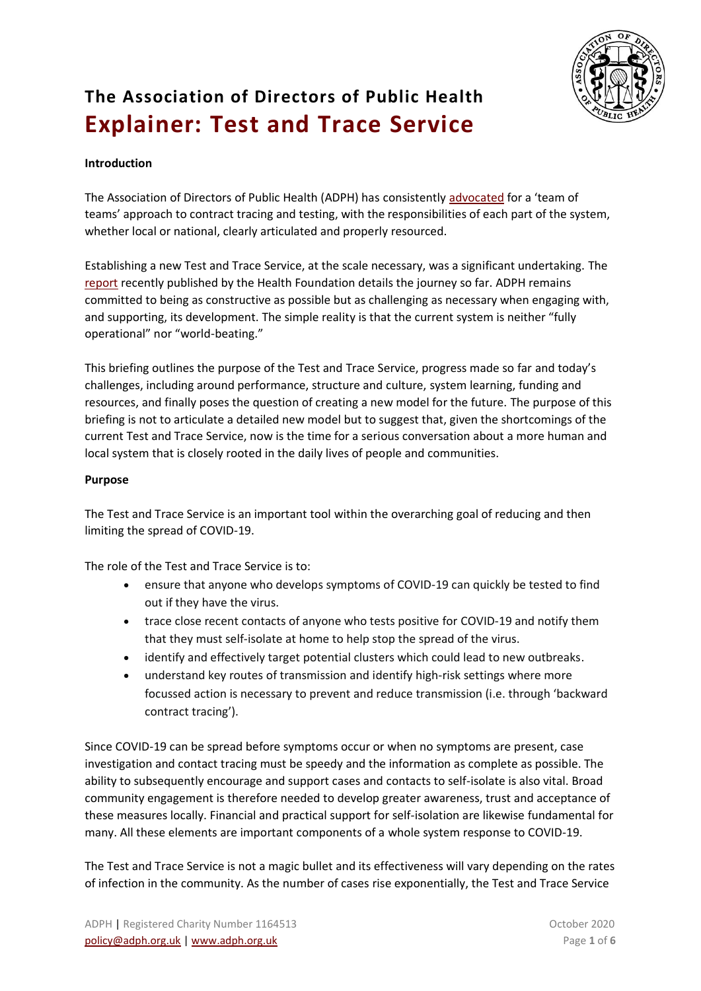

# **The Association of Directors of Public Health Explainer: Test and Trace Service**

# **Introduction**

The Association of Directors of Public Health (ADPH) has consistently [advocated](https://www.adph.org.uk/wp-content/uploads/2020/05/ADPH-Statement-of-Principles-Contact-Tracing.pdf) for a 'team of teams' approach to contract tracing and testing, with the responsibilities of each part of the system, whether local or national, clearly articulated and properly resourced.

Establishing a new Test and Trace Service, at the scale necessary, was a significant undertaking. The [report](https://www.health.org.uk/publications/long-reads/nhs-test-and-trace-the-journey-so-far) recently published by the Health Foundation details the journey so far. ADPH remains committed to being as constructive as possible but as challenging as necessary when engaging with, and supporting, its development. The simple reality is that the current system is neither "fully operational" nor "world-beating."

This briefing outlines the purpose of the Test and Trace Service, progress made so far and today's challenges, including around performance, structure and culture, system learning, funding and resources, and finally poses the question of creating a new model for the future. The purpose of this briefing is not to articulate a detailed new model but to suggest that, given the shortcomings of the current Test and Trace Service, now is the time for a serious conversation about a more human and local system that is closely rooted in the daily lives of people and communities.

#### **Purpose**

The Test and Trace Service is an important tool within the overarching goal of reducing and then limiting the spread of COVID-19.

The role of the Test and Trace Service is to:

- ensure that anyone who develops symptoms of COVID-19 can quickly be tested to find out if they have the virus.
- trace close recent contacts of anyone who tests positive for COVID-19 and notify them that they must self-isolate at home to help stop the spread of the virus.
- identify and effectively target potential clusters which could lead to new outbreaks.
- understand key routes of transmission and identify high-risk settings where more focussed action is necessary to prevent and reduce transmission (i.e. through 'backward contract tracing').

Since COVID-19 can be spread before symptoms occur or when no symptoms are present, case investigation and contact tracing must be speedy and the information as complete as possible. The ability to subsequently encourage and support cases and contacts to self-isolate is also vital. Broad community engagement is therefore needed to develop greater awareness, trust and acceptance of these measures locally. Financial and practical support for self-isolation are likewise fundamental for many. All these elements are important components of a whole system response to COVID-19.

The Test and Trace Service is not a magic bullet and its effectiveness will vary depending on the rates of infection in the community. As the number of cases rise exponentially, the Test and Trace Service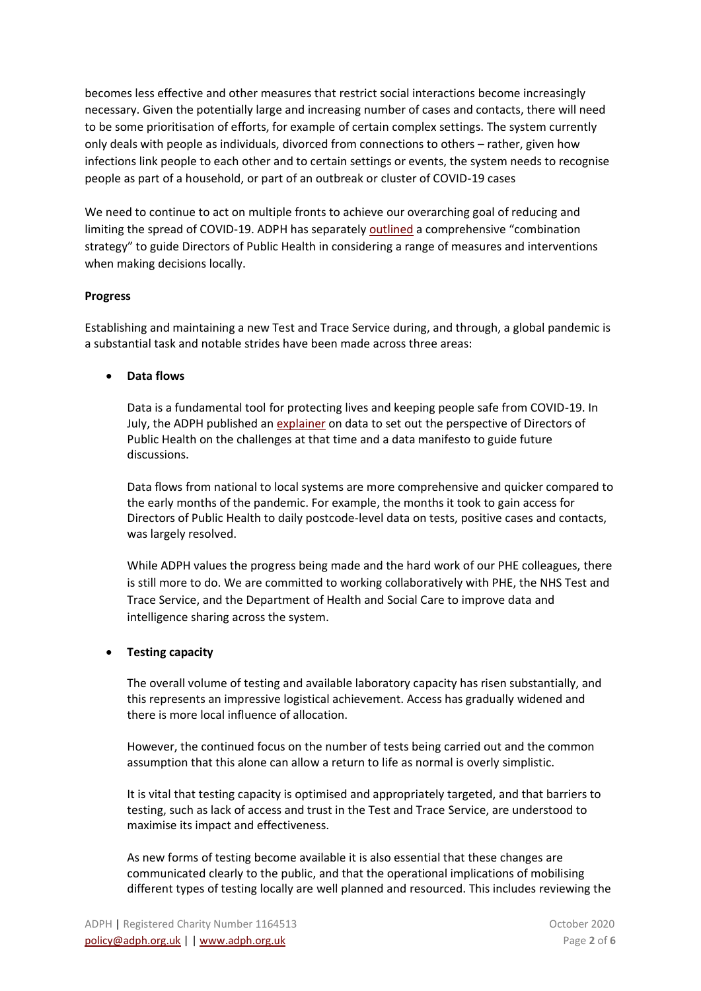becomes less effective and other measures that restrict social interactions become increasingly necessary. Given the potentially large and increasing number of cases and contacts, there will need to be some prioritisation of efforts, for example of certain complex settings. The system currently only deals with people as individuals, divorced from connections to others – rather, given how infections link people to each other and to certain settings or events, the system needs to recognise people as part of a household, or part of an outbreak or cluster of COVID-19 cases

We need to continue to act on multiple fronts to achieve our overarching goal of reducing and limiting the spread of COVID-19. ADPH has separately **outlined** a comprehensive "combination strategy" to guide Directors of Public Health in considering a range of measures and interventions when making decisions locally.

# **Progress**

Establishing and maintaining a new Test and Trace Service during, and through, a global pandemic is a substantial task and notable strides have been made across three areas:

# • **Data flows**

Data is a fundamental tool for protecting lives and keeping people safe from COVID-19. In July, the ADPH published an [explainer](https://www.adph.org.uk/wp-content/uploads/2020/07/ADPH-Explainer-Data-July-2020.pdf) on data to set out the perspective of Directors of Public Health on the challenges at that time and a data manifesto to guide future discussions.

Data flows from national to local systems are more comprehensive and quicker compared to the early months of the pandemic. For example, the months it took to gain access for Directors of Public Health to daily postcode-level data on tests, positive cases and contacts, was largely resolved.

While ADPH values the progress being made and the hard work of our PHE colleagues, there is still more to do. We are committed to working collaboratively with PHE, the NHS Test and Trace Service, and the Department of Health and Social Care to improve data and intelligence sharing across the system.

#### • **Testing capacity**

The overall volume of testing and available laboratory capacity has risen substantially, and this represents an impressive logistical achievement. Access has gradually widened and there is more local influence of allocation.

However, the continued focus on the number of tests being carried out and the common assumption that this alone can allow a return to life as normal is overly simplistic.

It is vital that testing capacity is optimised and appropriately targeted, and that barriers to testing, such as lack of access and trust in the Test and Trace Service, are understood to maximise its impact and effectiveness.

As new forms of testing become available it is also essential that these changes are communicated clearly to the public, and that the operational implications of mobilising different types of testing locally are well planned and resourced. This includes reviewing the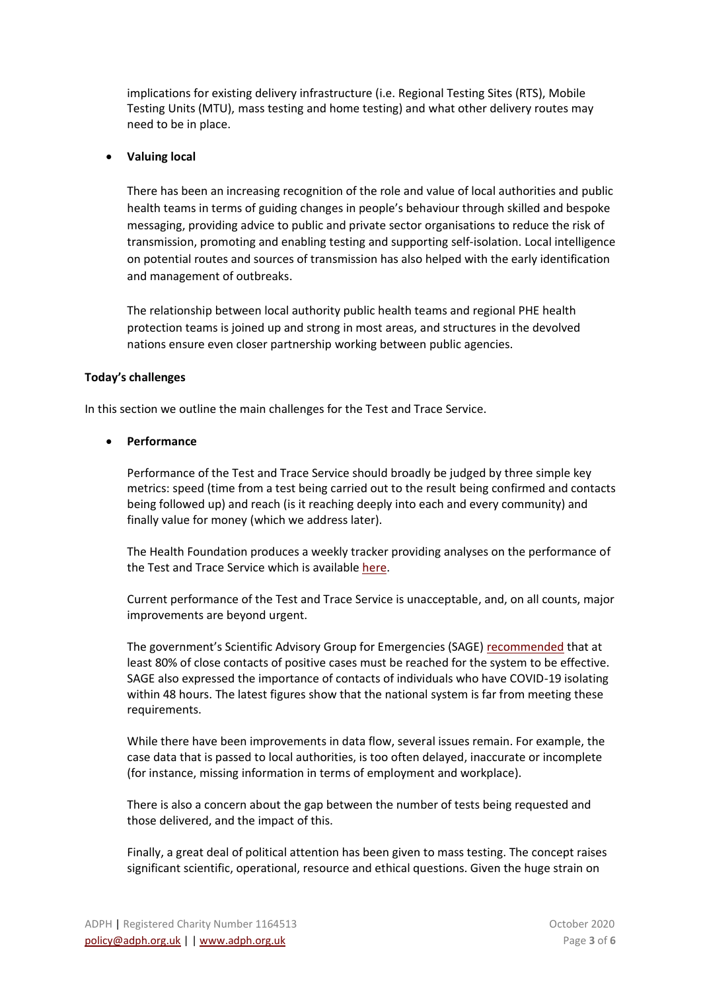implications for existing delivery infrastructure (i.e. Regional Testing Sites (RTS), Mobile Testing Units (MTU), mass testing and home testing) and what other delivery routes may need to be in place.

# • **Valuing local**

There has been an increasing recognition of the role and value of local authorities and public health teams in terms of guiding changes in people's behaviour through skilled and bespoke messaging, providing advice to public and private sector organisations to reduce the risk of transmission, promoting and enabling testing and supporting self-isolation. Local intelligence on potential routes and sources of transmission has also helped with the early identification and management of outbreaks.

The relationship between local authority public health teams and regional PHE health protection teams is joined up and strong in most areas, and structures in the devolved nations ensure even closer partnership working between public agencies.

# **Today's challenges**

In this section we outline the main challenges for the Test and Trace Service.

• **Performance**

Performance of the Test and Trace Service should broadly be judged by three simple key metrics: speed (time from a test being carried out to the result being confirmed and contacts being followed up) and reach (is it reaching deeply into each and every community) and finally value for money (which we address later).

The Health Foundation produces a weekly tracker providing analyses on the performance of the Test and Trace Service which is available [here.](https://www.health.org.uk/news-and-comment/charts-and-infographics/nhs-test-and-trace-performance-tracker)

Current performance of the Test and Trace Service is unacceptable, and, on all counts, major improvements are beyond urgent.

The government's Scientific Advisory Group for Emergencies (SAGE) [recommended](https://assets.publishing.service.gov.uk/government/uploads/system/uploads/attachment_data/file/888807/S0402_Thirty-second_SAGE_meeting_on_Covid-19_.pdf) that at least 80% of close contacts of positive cases must be reached for the system to be effective. SAGE also expressed the importance of contacts of individuals who have COVID-19 isolating within 48 hours. The latest figures show that the national system is far from meeting these requirements.

While there have been improvements in data flow, several issues remain. For example, the case data that is passed to local authorities, is too often delayed, inaccurate or incomplete (for instance, missing information in terms of employment and workplace).

There is also a concern about the gap between the number of tests being requested and those delivered, and the impact of this.

Finally, a great deal of political attention has been given to mass testing. The concept raises significant scientific, operational, resource and ethical questions. Given the huge strain on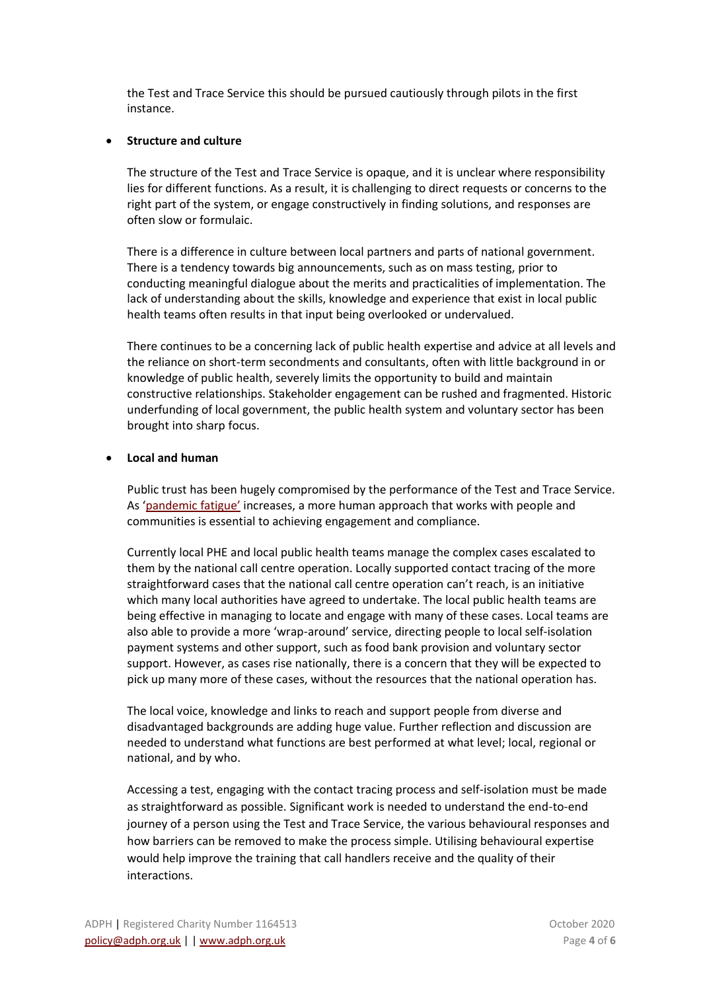the Test and Trace Service this should be pursued cautiously through pilots in the first instance.

#### • **Structure and culture**

The structure of the Test and Trace Service is opaque, and it is unclear where responsibility lies for different functions. As a result, it is challenging to direct requests or concerns to the right part of the system, or engage constructively in finding solutions, and responses are often slow or formulaic.

There is a difference in culture between local partners and parts of national government. There is a tendency towards big announcements, such as on mass testing, prior to conducting meaningful dialogue about the merits and practicalities of implementation. The lack of understanding about the skills, knowledge and experience that exist in local public health teams often results in that input being overlooked or undervalued.

There continues to be a concerning lack of public health expertise and advice at all levels and the reliance on short-term secondments and consultants, often with little background in or knowledge of public health, severely limits the opportunity to build and maintain constructive relationships. Stakeholder engagement can be rushed and fragmented. Historic underfunding of local government, the public health system and voluntary sector has been brought into sharp focus.

# • **Local and human**

Public trust has been hugely compromised by the performance of the Test and Trace Service. As ['pandemic fatigue'](https://www.who.int/news-room/feature-stories/detail/who-europe-discusses-how-to-deal-with-pandemic-fatigue) increases, a more human approach that works with people and communities is essential to achieving engagement and compliance.

Currently local PHE and local public health teams manage the complex cases escalated to them by the national call centre operation. Locally supported contact tracing of the more straightforward cases that the national call centre operation can't reach, is an initiative which many local authorities have agreed to undertake. The local public health teams are being effective in managing to locate and engage with many of these cases. Local teams are also able to provide a more 'wrap-around' service, directing people to local self-isolation payment systems and other support, such as food bank provision and voluntary sector support. However, as cases rise nationally, there is a concern that they will be expected to pick up many more of these cases, without the resources that the national operation has.

The local voice, knowledge and links to reach and support people from diverse and disadvantaged backgrounds are adding huge value. Further reflection and discussion are needed to understand what functions are best performed at what level; local, regional or national, and by who.

Accessing a test, engaging with the contact tracing process and self-isolation must be made as straightforward as possible. Significant work is needed to understand the end-to-end journey of a person using the Test and Trace Service, the various behavioural responses and how barriers can be removed to make the process simple. Utilising behavioural expertise would help improve the training that call handlers receive and the quality of their interactions.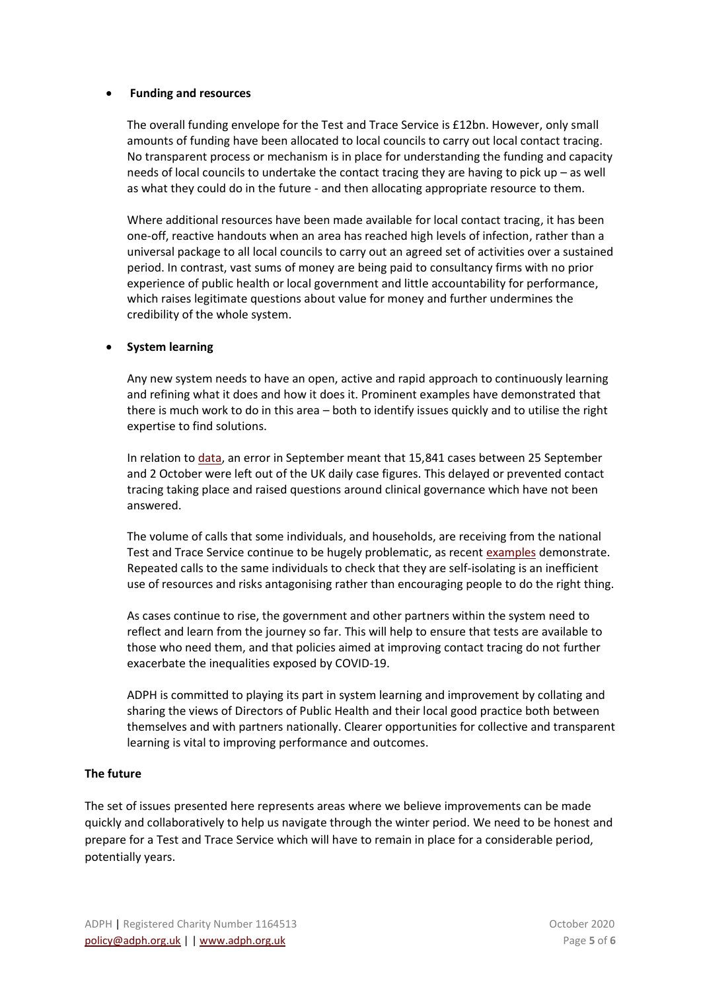#### • **Funding and resources**

The overall funding envelope for the Test and Trace Service is £12bn. However, only small amounts of funding have been allocated to local councils to carry out local contact tracing. No transparent process or mechanism is in place for understanding the funding and capacity needs of local councils to undertake the contact tracing they are having to pick up – as well as what they could do in the future - and then allocating appropriate resource to them.

Where additional resources have been made available for local contact tracing, it has been one-off, reactive handouts when an area has reached high levels of infection, rather than a universal package to all local councils to carry out an agreed set of activities over a sustained period. In contrast, vast sums of money are being paid to consultancy firms with no prior experience of public health or local government and little accountability for performance, which raises legitimate questions about value for money and further undermines the credibility of the whole system.

# • **System learning**

Any new system needs to have an open, active and rapid approach to continuously learning and refining what it does and how it does it. Prominent examples have demonstrated that there is much work to do in this area – both to identify issues quickly and to utilise the right expertise to find solutions.

In relation to [data,](https://www.bbc.co.uk/news/uk-54422505) an error in September meant that 15,841 cases between 25 September and 2 October were left out of the UK daily case figures. This delayed or prevented contact tracing taking place and raised questions around clinical governance which have not been answered.

The volume of calls that some individuals, and households, are receiving from the national Test and Trace Service continue to be hugely problematic, as recent [examples](https://www.lgcplus.com/politics/coronavirus/self-isolating-dph-slams-national-contact-tracing-services-for-bombarding-her-20-10-2020/) demonstrate. Repeated calls to the same individuals to check that they are self-isolating is an inefficient use of resources and risks antagonising rather than encouraging people to do the right thing.

As cases continue to rise, the government and other partners within the system need to reflect and learn from the journey so far. This will help to ensure that tests are available to those who need them, and that policies aimed at improving contact tracing do not further exacerbate the inequalities exposed by COVID-19.

ADPH is committed to playing its part in system learning and improvement by collating and sharing the views of Directors of Public Health and their local good practice both between themselves and with partners nationally. Clearer opportunities for collective and transparent learning is vital to improving performance and outcomes.

#### **The future**

The set of issues presented here represents areas where we believe improvements can be made quickly and collaboratively to help us navigate through the winter period. We need to be honest and prepare for a Test and Trace Service which will have to remain in place for a considerable period, potentially years.